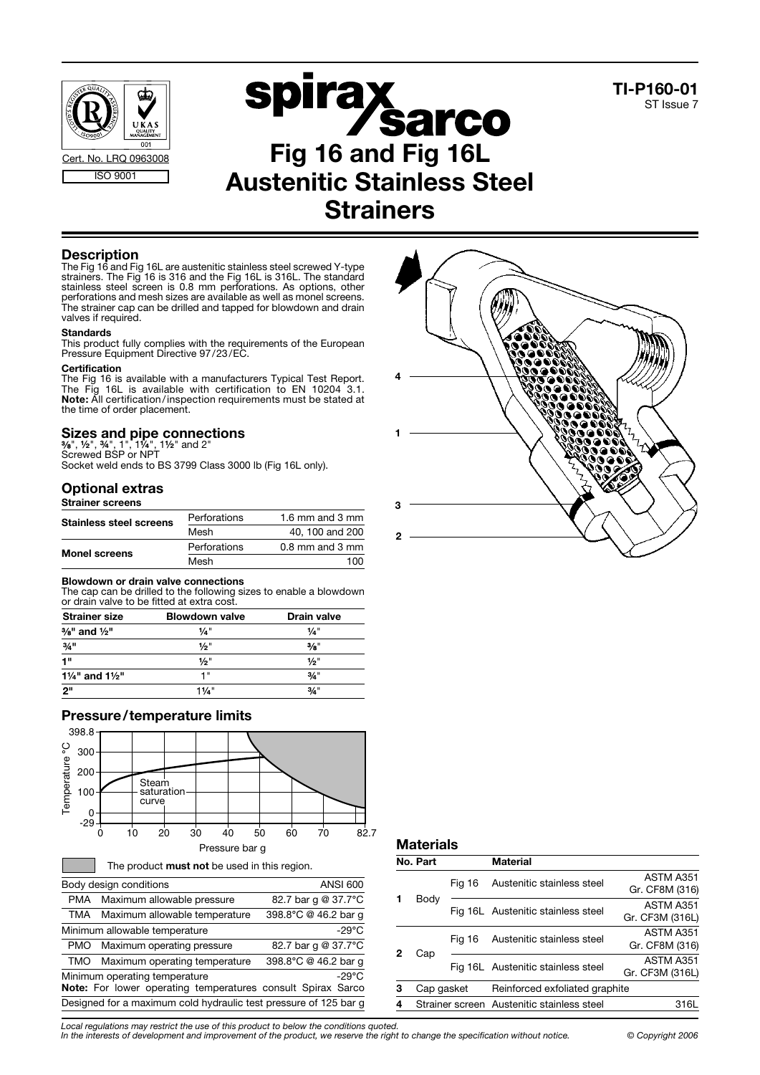



**Strainers** 

# **Description**

The Fig 16 and Fig 16L are austenitic stainless steel screwed Y-type strainers. The Fig 16 is 316 and the Fig 16L is 316L. The standard stainless steel screen is 0.8 mm perforations. As options, other perforations and mesh sizes are available as well as monel screens. The strainer cap can be drilled and tapped for blowdown and drain valves if required.

### **Standards**

This product fully complies with the requirements of the European Pressure Equipment Directive 97/23/EC.

#### **Certification**

The Fig 16 is available with a manufacturers Typical Test Report. The Fig 16L is available with certification to EN 10204 3.1. Note: All certification / inspection requirements must be stated at the time of order placement.

# Sizes and pipe connections<br>%", ½", ¾", 1", 1¼", 1½" and 2"

Screwed BSP or NPT

Socket weld ends to BS 3799 Class 3000 lb (Fig 16L only).

# Optional extras

Strainer screens

| <b>Stainless steel screens</b> | Perforations | 1.6 mm and 3 mm     |
|--------------------------------|--------------|---------------------|
|                                | Mesh         | 40, 100 and 200     |
| <b>Monel screens</b>           | Perforations | $0.8$ mm and $3$ mm |
|                                | Mesh         | 100                 |

### Blowdown or drain valve connections

The cap can be drilled to the following sizes to enable a blowdown or drain valve to be fitted at extra cost.

| <b>Strainer size</b>                  | <b>Blowdown valve</b> | <b>Drain valve</b><br>$1/a$ " |  |
|---------------------------------------|-----------------------|-------------------------------|--|
| $\frac{3}{8}$ " and $\frac{1}{2}$ "   | $\frac{1}{4}$ "       |                               |  |
| $3/4$ <sup>11</sup>                   | 1/2"                  | $\frac{3}{8}$ "               |  |
| 1"                                    | 1/2"                  | $\frac{1}{2}$ "               |  |
| $1\frac{1}{4}$ " and $1\frac{1}{2}$ " | 1 "                   | $3/4$ "                       |  |
| ייפ                                   | 11/4"                 | $3/4$ "                       |  |

## Pressure/temperature limits



|                                                                  | Body design conditions                                      | <b>ANSI 600</b>      |  |  |
|------------------------------------------------------------------|-------------------------------------------------------------|----------------------|--|--|
| PMA                                                              | Maximum allowable pressure                                  | 82.7 bar g @ 37.7°C  |  |  |
| TMA                                                              | Maximum allowable temperature                               | 398.8°C @ 46.2 bar q |  |  |
|                                                                  | Minimum allowable temperature                               | $-29^{\circ}$ C      |  |  |
| PMO                                                              | Maximum operating pressure                                  | 82.7 bar g @ 37.7°C  |  |  |
| TMO                                                              | Maximum operating temperature                               | 398.8°C @ 46.2 bar q |  |  |
| Minimum operating temperature<br>$-29^{\circ}$ C                 |                                                             |                      |  |  |
|                                                                  | Note: For lower operating temperatures consult Spirax Sarco |                      |  |  |
| Designed for a maximum cold hydraulic test pressure of 125 bar g |                                                             |                      |  |  |



TI-P160-01 ST Issue 7

## **Materials**

|          | No. Part   |                            | Material                                   |                                    |
|----------|------------|----------------------------|--------------------------------------------|------------------------------------|
|          |            | Fig 16                     | Austenitic stainless steel                 | ASTM A351<br>Gr. CF8M (316)        |
|          | Body       |                            | Fig 16L Austenitic stainless steel         | ASTM A351<br>Gr. CF3M (316L)       |
| 2<br>Cap | Fia 16     | Austenitic stainless steel | ASTM A351<br>Gr. CF8M (316)                |                                    |
|          |            |                            |                                            | Fig 16L Austenitic stainless steel |
| 3        | Cap gasket |                            | Reinforced exfoliated graphite             |                                    |
| 4        |            |                            | Strainer screen Austenitic stainless steel | 316L                               |

Local regulations may restrict the use of this product to below the conditions quoted.

In the interests of development and improvement of the product, we reserve the right to change the specification without notice. © Copyright 2006